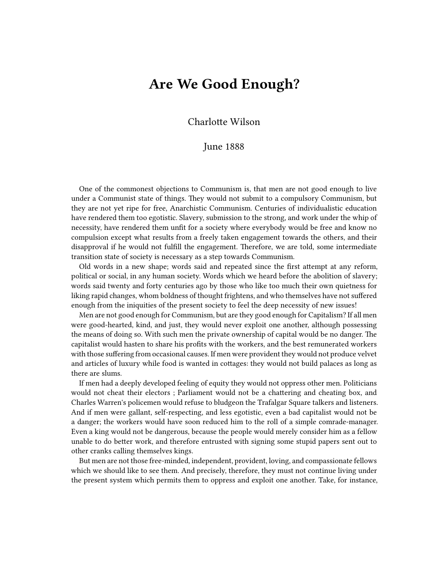## **Are We Good Enough?**

Charlotte Wilson

## June 1888

One of the commonest objections to Communism is, that men are not good enough to live under a Communist state of things. They would not submit to a compulsory Communism, but they are not yet ripe for free, Anarchistic Communism. Centuries of individualistic education have rendered them too egotistic. Slavery, submission to the strong, and work under the whip of necessity, have rendered them unfit for a society where everybody would be free and know no compulsion except what results from a freely taken engagement towards the others, and their disapproval if he would not fulfill the engagement. Therefore, we are told, some intermediate transition state of society is necessary as a step towards Communism.

Old words in a new shape; words said and repeated since the first attempt at any reform, political or social, in any human society. Words which we heard before the abolition of slavery; words said twenty and forty centuries ago by those who like too much their own quietness for liking rapid changes, whom boldness of thought frightens, and who themselves have not suffered enough from the iniquities of the present society to feel the deep necessity of new issues!

Men are not good enough for Communism, but are they good enough for Capitalism? If all men were good-hearted, kind, and just, they would never exploit one another, although possessing the means of doing so. With such men the private ownership of capital would be no danger. The capitalist would hasten to share his profits with the workers, and the best remunerated workers with those suffering from occasional causes. If men were provident they would not produce velvet and articles of luxury while food is wanted in cottages: they would not build palaces as long as there are slums.

If men had a deeply developed feeling of equity they would not oppress other men. Politicians would not cheat their electors ; Parliament would not be a chattering and cheating box, and Charles Warren's policemen would refuse to bludgeon the Trafalgar Square talkers and listeners. And if men were gallant, self-respecting, and less egotistic, even a bad capitalist would not be a danger; the workers would have soon reduced him to the roll of a simple comrade-manager. Even a king would not be dangerous, because the people would merely consider him as a fellow unable to do better work, and therefore entrusted with signing some stupid papers sent out to other cranks calling themselves kings.

But men are not those free-minded, independent, provident, loving, and compassionate fellows which we should like to see them. And precisely, therefore, they must not continue living under the present system which permits them to oppress and exploit one another. Take, for instance,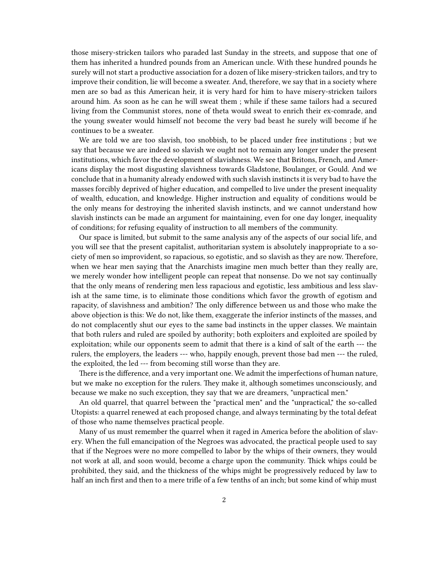those misery-stricken tailors who paraded last Sunday in the streets, and suppose that one of them has inherited a hundred pounds from an American uncle. With these hundred pounds he surely will not start a productive association for a dozen of like misery-stricken tailors, and try to improve their condition, lie will become a sweater. And, therefore, we say that in a society where men are so bad as this American heir, it is very hard for him to have misery-stricken tailors around him. As soon as he can he will sweat them ; while if these same tailors had a secured living from the Communist stores, none of theta would sweat to enrich their ex-comrade, and the young sweater would himself not become the very bad beast he surely will become if he continues to be a sweater.

We are told we are too slavish, too snobbish, to be placed under free institutions ; but we say that because we are indeed so slavish we ought not to remain any longer under the present institutions, which favor the development of slavishness. We see that Britons, French, and Americans display the most disgusting slavishness towards Gladstone, Boulanger, or Gould. And we conclude that in a humanity already endowed with such slavish instincts it is very bad to have the masses forcibly deprived of higher education, and compelled to live under the present inequality of wealth, education, and knowledge. Higher instruction and equality of conditions would be the only means for destroying the inherited slavish instincts, and we cannot understand how slavish instincts can be made an argument for maintaining, even for one day longer, inequality of conditions; for refusing equality of instruction to all members of the community.

Our space is limited, but submit to the same analysis any of the aspects of our social life, and you will see that the present capitalist, authoritarian system is absolutely inappropriate to a society of men so improvident, so rapacious, so egotistic, and so slavish as they are now. Therefore, when we hear men saying that the Anarchists imagine men much better than they really are, we merely wonder how intelligent people can repeat that nonsense. Do we not say continually that the only means of rendering men less rapacious and egotistic, less ambitious and less slavish at the same time, is to eliminate those conditions which favor the growth of egotism and rapacity, of slavishness and ambition? The only difference between us and those who make the above objection is this: We do not, like them, exaggerate the inferior instincts of the masses, and do not complacently shut our eyes to the same bad instincts in the upper classes. We maintain that both rulers and ruled are spoiled by authority; both exploiters and exploited are spoiled by exploitation; while our opponents seem to admit that there is a kind of salt of the earth --- the rulers, the employers, the leaders --- who, happily enough, prevent those bad men --- the ruled, the exploited, the led --- from becoming still worse than they are.

There is the difference, and a very important one. We admit the imperfections of human nature, but we make no exception for the rulers. They make it, although sometimes unconsciously, and because we make no such exception, they say that we are dreamers, "unpractical men."

An old quarrel, that quarrel between the "practical men" and the "unpractical," the so-called Utopists: a quarrel renewed at each proposed change, and always terminating by the total defeat of those who name themselves practical people.

Many of us must remember the quarrel when it raged in America before the abolition of slavery. When the full emancipation of the Negroes was advocated, the practical people used to say that if the Negroes were no more compelled to labor by the whips of their owners, they would not work at all, and soon would, become a charge upon the community. Thick whips could be prohibited, they said, and the thickness of the whips might be progressively reduced by law to half an inch first and then to a mere trifle of a few tenths of an inch; but some kind of whip must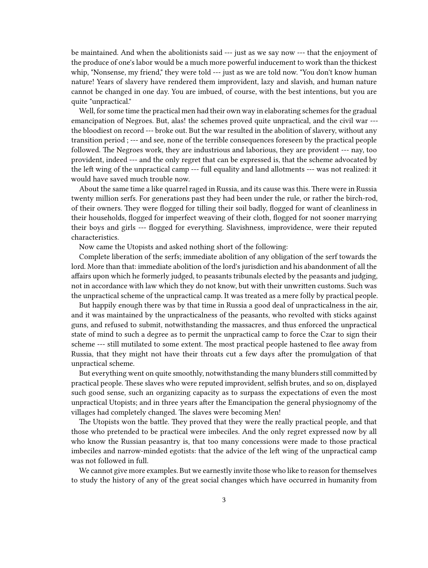be maintained. And when the abolitionists said --- just as we say now --- that the enjoyment of the produce of one's labor would be a much more powerful inducement to work than the thickest whip, "Nonsense, my friend," they were told --- just as we are told now. "You don't know human nature! Years of slavery have rendered them improvident, lazy and slavish, and human nature cannot be changed in one day. You are imbued, of course, with the best intentions, but you are quite "unpractical."

Well, for some time the practical men had their own way in elaborating schemes for the gradual emancipation of Negroes. But, alas! the schemes proved quite unpractical, and the civil war --the bloodiest on record --- broke out. But the war resulted in the abolition of slavery, without any transition period ; --- and see, none of the terrible consequences foreseen by the practical people followed. The Negroes work, they are industrious and laborious, they are provident --- nay, too provident, indeed --- and the only regret that can be expressed is, that the scheme advocated by the left wing of the unpractical camp --- full equality and land allotments --- was not realized: it would have saved much trouble now.

About the same time a like quarrel raged in Russia, and its cause was this. There were in Russia twenty million serfs. For generations past they had been under the rule, or rather the birch-rod, of their owners. They were flogged for tilling their soil badly, flogged for want of cleanliness in their households, flogged for imperfect weaving of their cloth, flogged for not sooner marrying their boys and girls --- flogged for everything. Slavishness, improvidence, were their reputed characteristics.

Now came the Utopists and asked nothing short of the following:

Complete liberation of the serfs; immediate abolition of any obligation of the serf towards the lord. More than that: immediate abolition of the lord's jurisdiction and his abandonment of all the affairs upon which he formerly judged, to peasants tribunals elected by the peasants and judging, not in accordance with law which they do not know, but with their unwritten customs. Such was the unpractical scheme of the unpractical camp. It was treated as a mere folly by practical people.

But happily enough there was by that time in Russia a good deal of unpracticalness in the air, and it was maintained by the unpracticalness of the peasants, who revolted with sticks against guns, and refused to submit, notwithstanding the massacres, and thus enforced the unpractical state of mind to such a degree as to permit the unpractical camp to force the Czar to sign their scheme --- still mutilated to some extent. The most practical people hastened to flee away from Russia, that they might not have their throats cut a few days after the promulgation of that unpractical scheme.

But everything went on quite smoothly, notwithstanding the many blunders still committed by practical people. These slaves who were reputed improvident, selfish brutes, and so on, displayed such good sense, such an organizing capacity as to surpass the expectations of even the most unpractical Utopists; and in three years after the Emancipation the general physiognomy of the villages had completely changed. The slaves were becoming Men!

The Utopists won the battle. They proved that they were the really practical people, and that those who pretended to be practical were imbeciles. And the only regret expressed now by all who know the Russian peasantry is, that too many concessions were made to those practical imbeciles and narrow-minded egotists: that the advice of the left wing of the unpractical camp was not followed in full.

We cannot give more examples. But we earnestly invite those who like to reason for themselves to study the history of any of the great social changes which have occurred in humanity from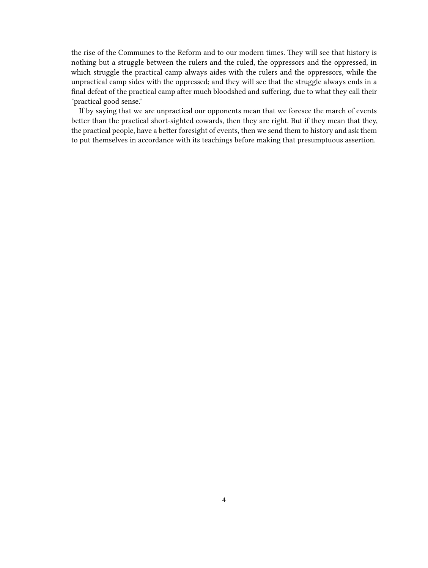the rise of the Communes to the Reform and to our modern times. They will see that history is nothing but a struggle between the rulers and the ruled, the oppressors and the oppressed, in which struggle the practical camp always aides with the rulers and the oppressors, while the unpractical camp sides with the oppressed; and they will see that the struggle always ends in a final defeat of the practical camp after much bloodshed and suffering, due to what they call their "practical good sense."

If by saying that we are unpractical our opponents mean that we foresee the march of events better than the practical short-sighted cowards, then they are right. But if they mean that they, the practical people, have a better foresight of events, then we send them to history and ask them to put themselves in accordance with its teachings before making that presumptuous assertion.